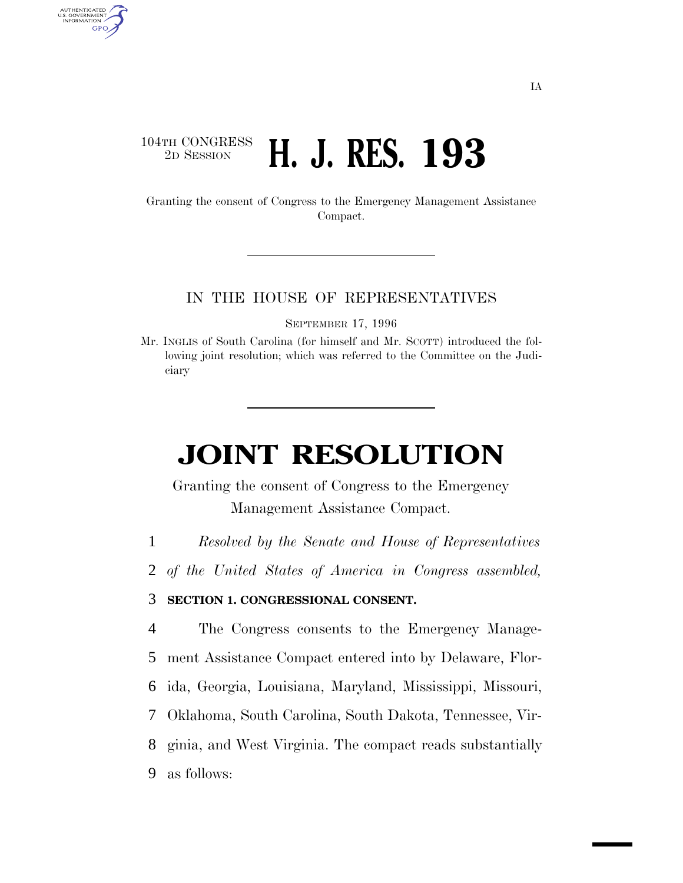# 104TH CONGRESS<br>2D SESSION 2D SESSION **H. J. RES. 193**

AUTHENTICATED<br>U.S. GOVERNMENT<br>INFORMATION GPO

> Granting the consent of Congress to the Emergency Management Assistance Compact.

#### IN THE HOUSE OF REPRESENTATIVES

SEPTEMBER 17, 1996

Mr. INGLIS of South Carolina (for himself and Mr. SCOTT) introduced the following joint resolution; which was referred to the Committee on the Judiciary

# **JOINT RESOLUTION**

Granting the consent of Congress to the Emergency Management Assistance Compact.

1 *Resolved by the Senate and House of Representatives*

2 *of the United States of America in Congress assembled,*

#### 3 **SECTION 1. CONGRESSIONAL CONSENT.**

 The Congress consents to the Emergency Manage- ment Assistance Compact entered into by Delaware, Flor- ida, Georgia, Louisiana, Maryland, Mississippi, Missouri, Oklahoma, South Carolina, South Dakota, Tennessee, Vir- ginia, and West Virginia. The compact reads substantially as follows: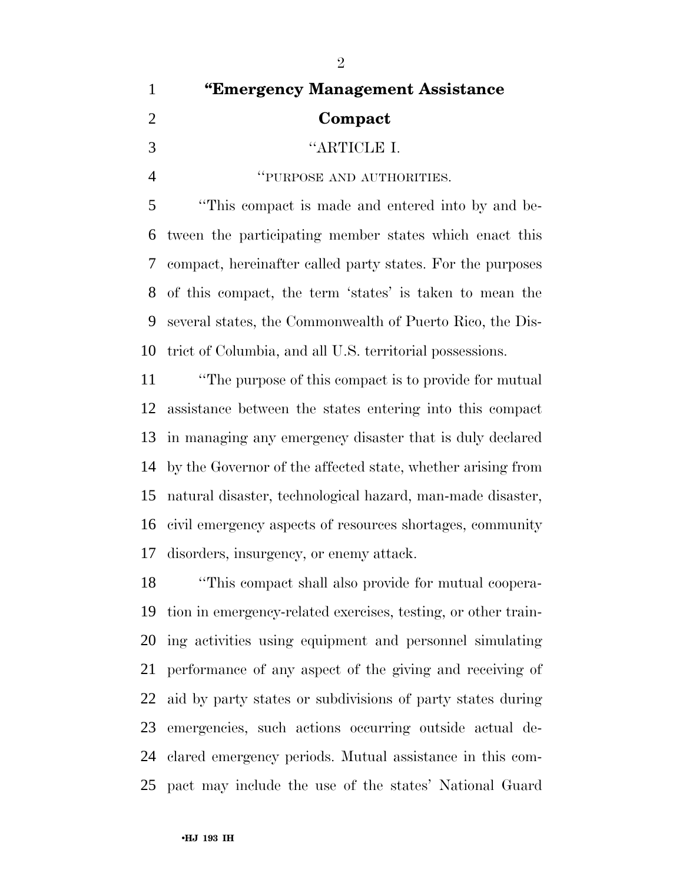| $\mathbf{1}$   | "Emergency Management Assistance                              |
|----------------|---------------------------------------------------------------|
| $\overline{2}$ | Compact                                                       |
| 3              | "ARTICLE I.                                                   |
| $\overline{4}$ | "PURPOSE AND AUTHORITIES.                                     |
| 5              | "This compact is made and entered into by and be-             |
| 6              | tween the participating member states which enact this        |
| 7              | compact, hereinafter called party states. For the purposes    |
| 8              | of this compact, the term 'states' is taken to mean the       |
| 9              | several states, the Commonwealth of Puerto Rico, the Dis-     |
| 10             | trict of Columbia, and all U.S. territorial possessions.      |
| 11             | "The purpose of this compact is to provide for mutual"        |
| 12             | assistance between the states entering into this compact      |
| 13             | in managing any emergency disaster that is duly declared      |
| 14             | by the Governor of the affected state, whether arising from   |
|                | 15 natural disaster, technological hazard, man-made disaster, |
|                | 16 civil emergency aspects of resources shortages, community  |

disorders, insurgency, or enemy attack.

 ''This compact shall also provide for mutual coopera- tion in emergency-related exercises, testing, or other train- ing activities using equipment and personnel simulating performance of any aspect of the giving and receiving of aid by party states or subdivisions of party states during emergencies, such actions occurring outside actual de- clared emergency periods. Mutual assistance in this com-pact may include the use of the states' National Guard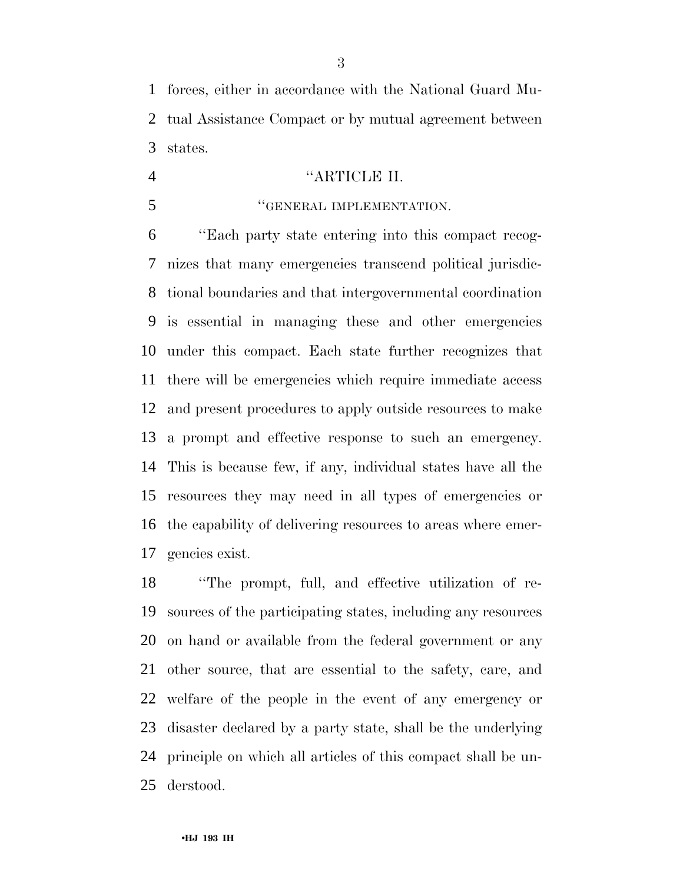forces, either in accordance with the National Guard Mu- tual Assistance Compact or by mutual agreement between states.

# ''ARTICLE II.

# **''GENERAL IMPLEMENTATION.**

 ''Each party state entering into this compact recog- nizes that many emergencies transcend political jurisdic- tional boundaries and that intergovernmental coordination is essential in managing these and other emergencies under this compact. Each state further recognizes that there will be emergencies which require immediate access and present procedures to apply outside resources to make a prompt and effective response to such an emergency. This is because few, if any, individual states have all the resources they may need in all types of emergencies or the capability of delivering resources to areas where emer-gencies exist.

 ''The prompt, full, and effective utilization of re- sources of the participating states, including any resources on hand or available from the federal government or any other source, that are essential to the safety, care, and welfare of the people in the event of any emergency or disaster declared by a party state, shall be the underlying principle on which all articles of this compact shall be un-derstood.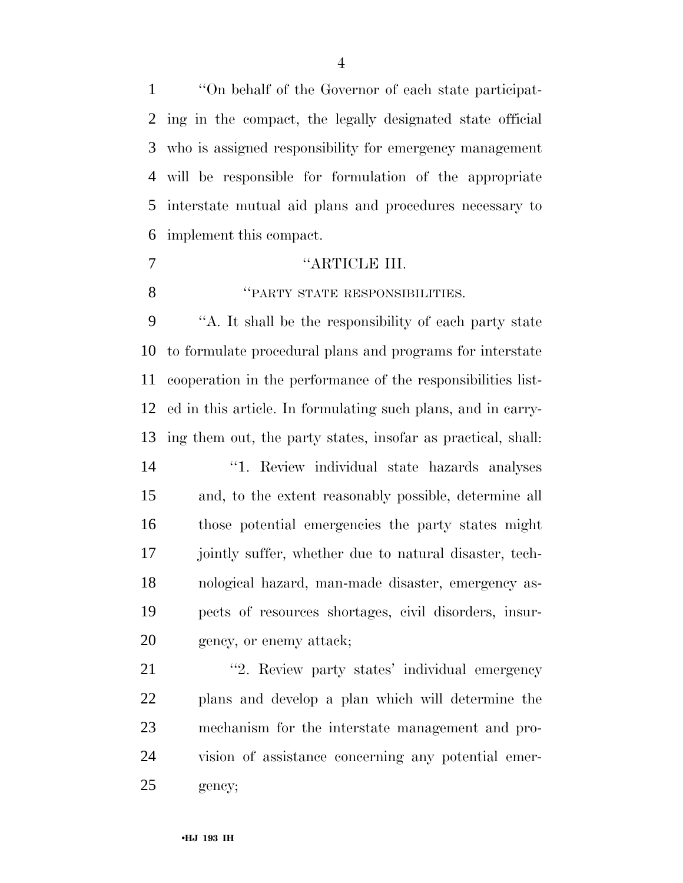''On behalf of the Governor of each state participat- ing in the compact, the legally designated state official who is assigned responsibility for emergency management will be responsible for formulation of the appropriate interstate mutual aid plans and procedures necessary to implement this compact.

#### 7 "ARTICLE III.

*"PARTY STATE RESPONSIBILITIES.* 

 ''A. It shall be the responsibility of each party state to formulate procedural plans and programs for interstate cooperation in the performance of the responsibilities list- ed in this article. In formulating such plans, and in carry-ing them out, the party states, insofar as practical, shall:

 ''1. Review individual state hazards analyses and, to the extent reasonably possible, determine all those potential emergencies the party states might 17 jointly suffer, whether due to natural disaster, tech- nological hazard, man-made disaster, emergency as- pects of resources shortages, civil disorders, insur-gency, or enemy attack;

21 "2. Review party states' individual emergency plans and develop a plan which will determine the mechanism for the interstate management and pro- vision of assistance concerning any potential emer-gency;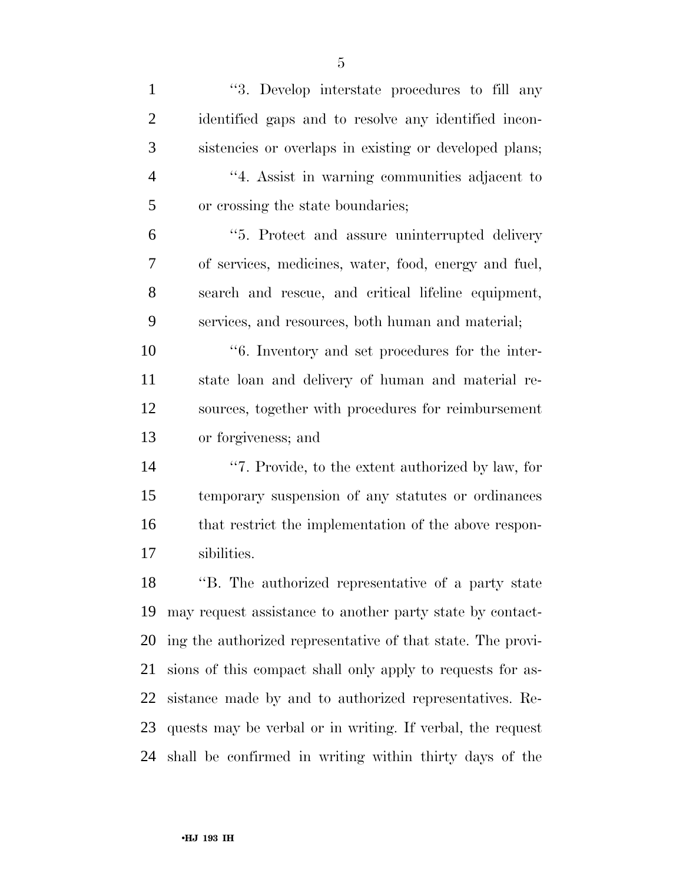''3. Develop interstate procedures to fill any identified gaps and to resolve any identified incon- sistencies or overlaps in existing or developed plans; ''4. Assist in warning communities adjacent to or crossing the state boundaries; ''5. Protect and assure uninterrupted delivery of services, medicines, water, food, energy and fuel, search and rescue, and critical lifeline equipment, services, and resources, both human and material; ''6. Inventory and set procedures for the inter-

 state loan and delivery of human and material re- sources, together with procedures for reimbursement or forgiveness; and

 ''7. Provide, to the extent authorized by law, for temporary suspension of any statutes or ordinances that restrict the implementation of the above respon-sibilities.

 ''B. The authorized representative of a party state may request assistance to another party state by contact- ing the authorized representative of that state. The provi- sions of this compact shall only apply to requests for as- sistance made by and to authorized representatives. Re- quests may be verbal or in writing. If verbal, the request shall be confirmed in writing within thirty days of the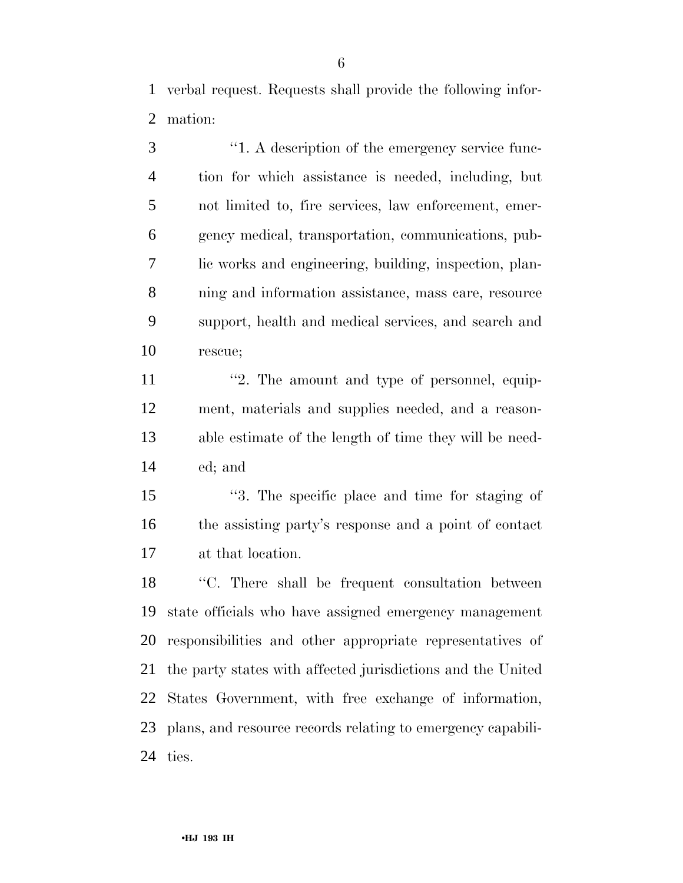verbal request. Requests shall provide the following infor-mation:

 ''1. A description of the emergency service func- tion for which assistance is needed, including, but not limited to, fire services, law enforcement, emer- gency medical, transportation, communications, pub- lic works and engineering, building, inspection, plan- ning and information assistance, mass care, resource support, health and medical services, and search and rescue;

11 ''2. The amount and type of personnel, equip- ment, materials and supplies needed, and a reason- able estimate of the length of time they will be need-ed; and

 ''3. The specific place and time for staging of the assisting party's response and a point of contact at that location.

 ''C. There shall be frequent consultation between state officials who have assigned emergency management responsibilities and other appropriate representatives of the party states with affected jurisdictions and the United States Government, with free exchange of information, plans, and resource records relating to emergency capabili-ties.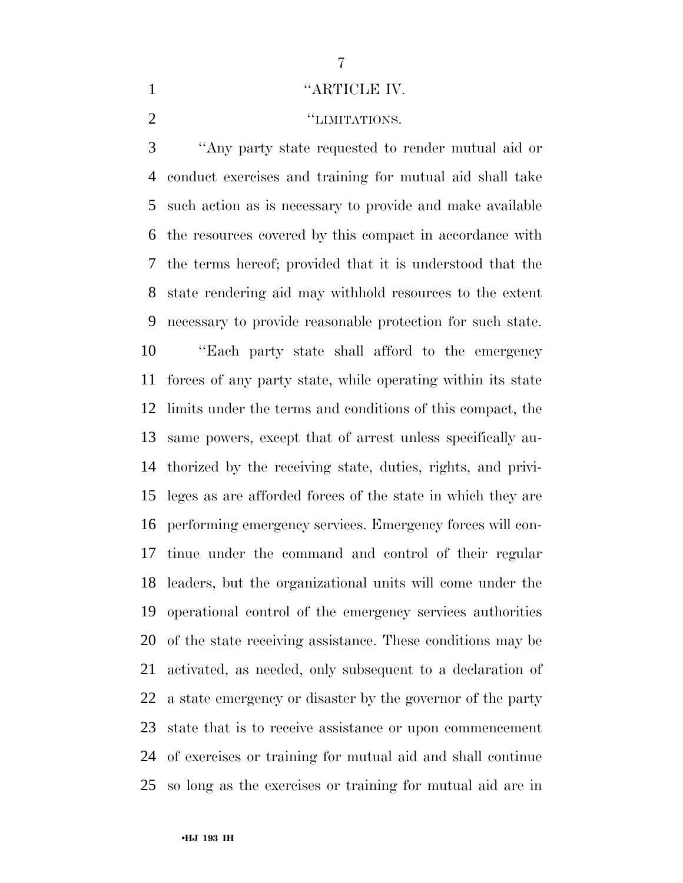### 1 "ARTICLE IV.

## **''LIMITATIONS.**

 ''Any party state requested to render mutual aid or conduct exercises and training for mutual aid shall take such action as is necessary to provide and make available the resources covered by this compact in accordance with the terms hereof; provided that it is understood that the state rendering aid may withhold resources to the extent necessary to provide reasonable protection for such state. ''Each party state shall afford to the emergency forces of any party state, while operating within its state limits under the terms and conditions of this compact, the same powers, except that of arrest unless specifically au- thorized by the receiving state, duties, rights, and privi- leges as are afforded forces of the state in which they are performing emergency services. Emergency forces will con- tinue under the command and control of their regular leaders, but the organizational units will come under the operational control of the emergency services authorities of the state receiving assistance. These conditions may be activated, as needed, only subsequent to a declaration of a state emergency or disaster by the governor of the party state that is to receive assistance or upon commencement of exercises or training for mutual aid and shall continue so long as the exercises or training for mutual aid are in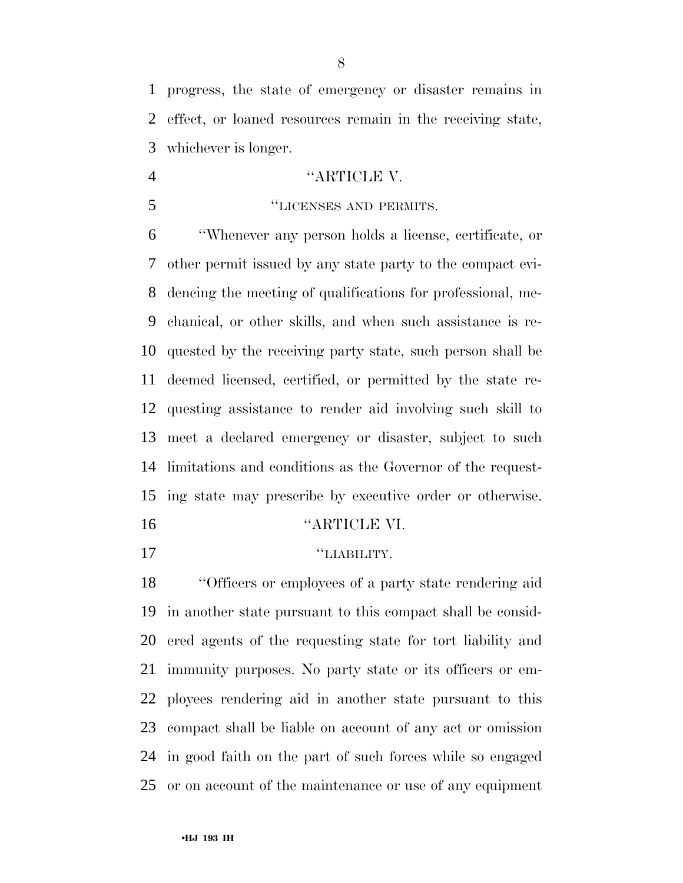progress, the state of emergency or disaster remains in effect, or loaned resources remain in the receiving state, whichever is longer.

# 4 "ARTICLE V.

# ''LICENSES AND PERMITS.

 ''Whenever any person holds a license, certificate, or other permit issued by any state party to the compact evi- dencing the meeting of qualifications for professional, me- chanical, or other skills, and when such assistance is re- quested by the receiving party state, such person shall be deemed licensed, certified, or permitted by the state re- questing assistance to render aid involving such skill to meet a declared emergency or disaster, subject to such limitations and conditions as the Governor of the request-ing state may prescribe by executive order or otherwise.

''ARTICLE VI.

## $"LIABILITY.$

 ''Officers or employees of a party state rendering aid in another state pursuant to this compact shall be consid- ered agents of the requesting state for tort liability and immunity purposes. No party state or its officers or em- ployees rendering aid in another state pursuant to this compact shall be liable on account of any act or omission in good faith on the part of such forces while so engaged or on account of the maintenance or use of any equipment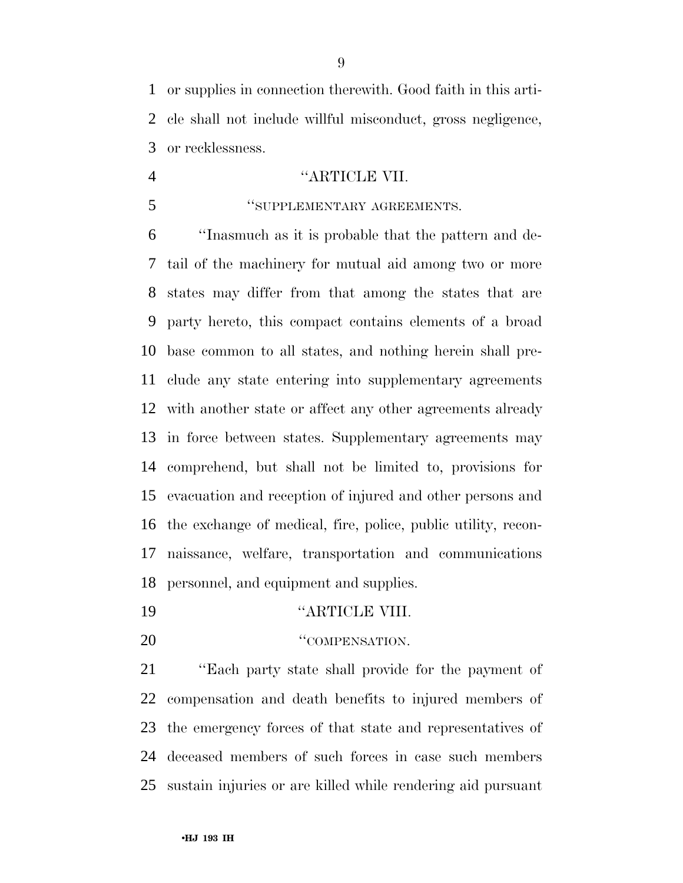or supplies in connection therewith. Good faith in this arti- cle shall not include willful misconduct, gross negligence, or recklessness.

# ''ARTICLE VII.

## ''SUPPLEMENTARY AGREEMENTS.

 ''Inasmuch as it is probable that the pattern and de- tail of the machinery for mutual aid among two or more states may differ from that among the states that are party hereto, this compact contains elements of a broad base common to all states, and nothing herein shall pre- clude any state entering into supplementary agreements with another state or affect any other agreements already in force between states. Supplementary agreements may comprehend, but shall not be limited to, provisions for evacuation and reception of injured and other persons and the exchange of medical, fire, police, public utility, recon- naissance, welfare, transportation and communications personnel, and equipment and supplies.

- ''ARTICLE VIII.
- 20 "COMPENSATION.

 ''Each party state shall provide for the payment of compensation and death benefits to injured members of the emergency forces of that state and representatives of deceased members of such forces in case such members sustain injuries or are killed while rendering aid pursuant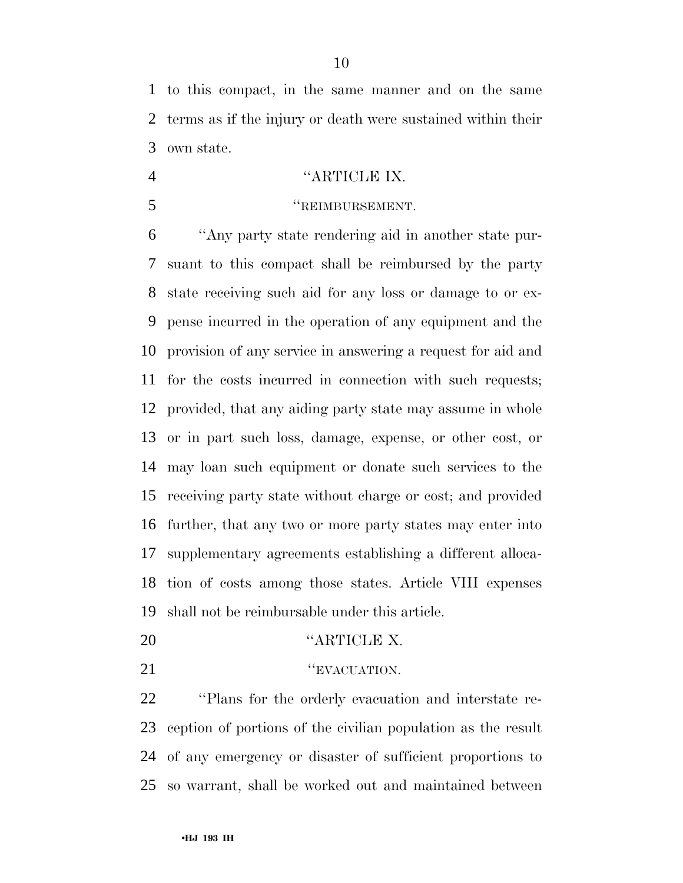to this compact, in the same manner and on the same terms as if the injury or death were sustained within their own state.

# ''ARTICLE IX.

# ''REIMBURSEMENT.

 ''Any party state rendering aid in another state pur- suant to this compact shall be reimbursed by the party state receiving such aid for any loss or damage to or ex- pense incurred in the operation of any equipment and the provision of any service in answering a request for aid and for the costs incurred in connection with such requests; provided, that any aiding party state may assume in whole or in part such loss, damage, expense, or other cost, or may loan such equipment or donate such services to the receiving party state without charge or cost; and provided further, that any two or more party states may enter into supplementary agreements establishing a different alloca- tion of costs among those states. Article VIII expenses shall not be reimbursable under this article.

- ''ARTICLE X.
- **''EVACUATION.**

 ''Plans for the orderly evacuation and interstate re- ception of portions of the civilian population as the result of any emergency or disaster of sufficient proportions to so warrant, shall be worked out and maintained between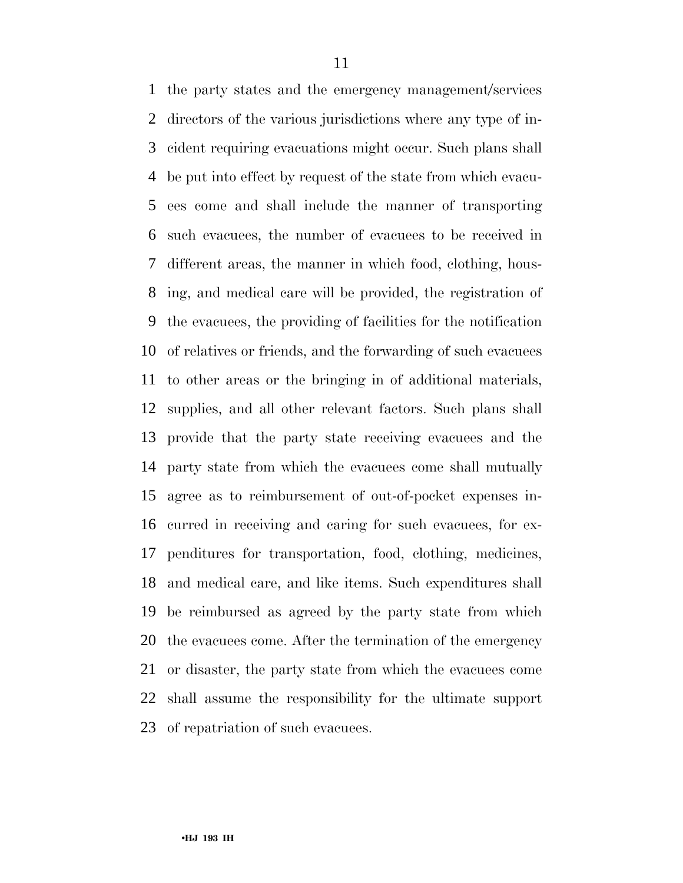the party states and the emergency management/services directors of the various jurisdictions where any type of in- cident requiring evacuations might occur. Such plans shall be put into effect by request of the state from which evacu- ees come and shall include the manner of transporting such evacuees, the number of evacuees to be received in different areas, the manner in which food, clothing, hous- ing, and medical care will be provided, the registration of the evacuees, the providing of facilities for the notification of relatives or friends, and the forwarding of such evacuees to other areas or the bringing in of additional materials, supplies, and all other relevant factors. Such plans shall provide that the party state receiving evacuees and the party state from which the evacuees come shall mutually agree as to reimbursement of out-of-pocket expenses in- curred in receiving and caring for such evacuees, for ex- penditures for transportation, food, clothing, medicines, and medical care, and like items. Such expenditures shall be reimbursed as agreed by the party state from which the evacuees come. After the termination of the emergency or disaster, the party state from which the evacuees come shall assume the responsibility for the ultimate support of repatriation of such evacuees.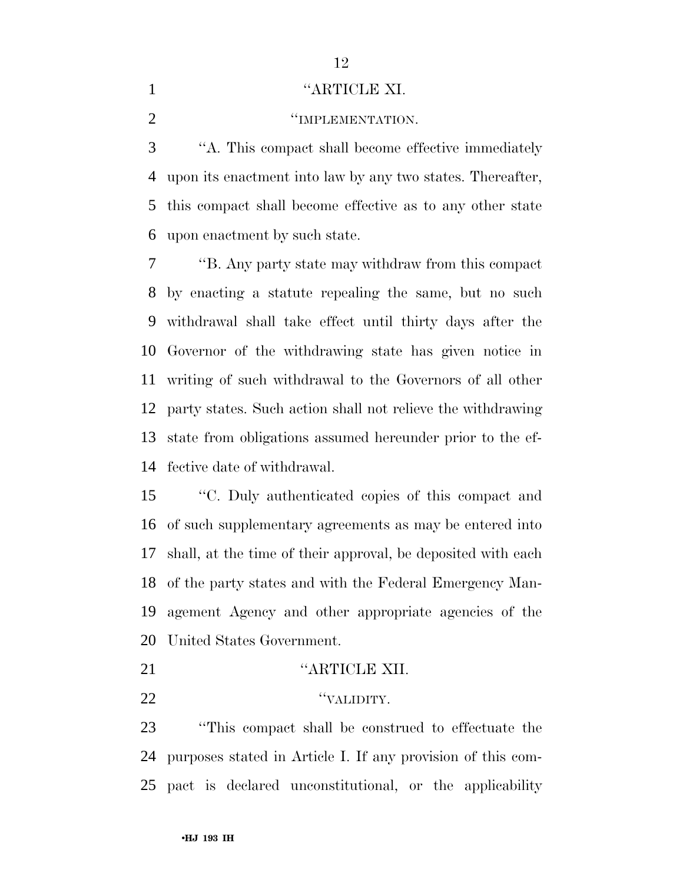## 1 "ARTICLE XI.

**TEMPLEMENTATION.** 

 ''A. This compact shall become effective immediately upon its enactment into law by any two states. Thereafter, this compact shall become effective as to any other state upon enactment by such state.

 ''B. Any party state may withdraw from this compact by enacting a statute repealing the same, but no such withdrawal shall take effect until thirty days after the Governor of the withdrawing state has given notice in writing of such withdrawal to the Governors of all other party states. Such action shall not relieve the withdrawing state from obligations assumed hereunder prior to the ef-fective date of withdrawal.

 ''C. Duly authenticated copies of this compact and of such supplementary agreements as may be entered into shall, at the time of their approval, be deposited with each of the party states and with the Federal Emergency Man- agement Agency and other appropriate agencies of the United States Government.

- **''ARTICLE XII.**
- ''VALIDITY.

 ''This compact shall be construed to effectuate the purposes stated in Article I. If any provision of this com-pact is declared unconstitutional, or the applicability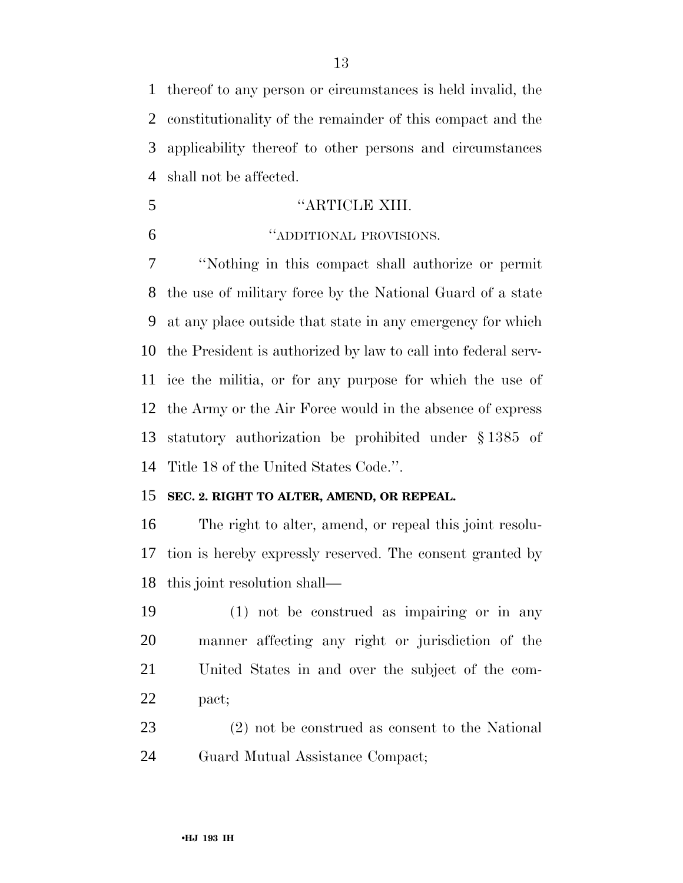thereof to any person or circumstances is held invalid, the constitutionality of the remainder of this compact and the applicability thereof to other persons and circumstances shall not be affected.

- 5 "ARTICLE XIII.
- 

### ''ADDITIONAL PROVISIONS.

 ''Nothing in this compact shall authorize or permit the use of military force by the National Guard of a state at any place outside that state in any emergency for which the President is authorized by law to call into federal serv- ice the militia, or for any purpose for which the use of the Army or the Air Force would in the absence of express statutory authorization be prohibited under § 1385 of Title 18 of the United States Code.''.

## **SEC. 2. RIGHT TO ALTER, AMEND, OR REPEAL.**

 The right to alter, amend, or repeal this joint resolu- tion is hereby expressly reserved. The consent granted by this joint resolution shall—

 (1) not be construed as impairing or in any manner affecting any right or jurisdiction of the United States in and over the subject of the com-pact;

 (2) not be construed as consent to the National Guard Mutual Assistance Compact;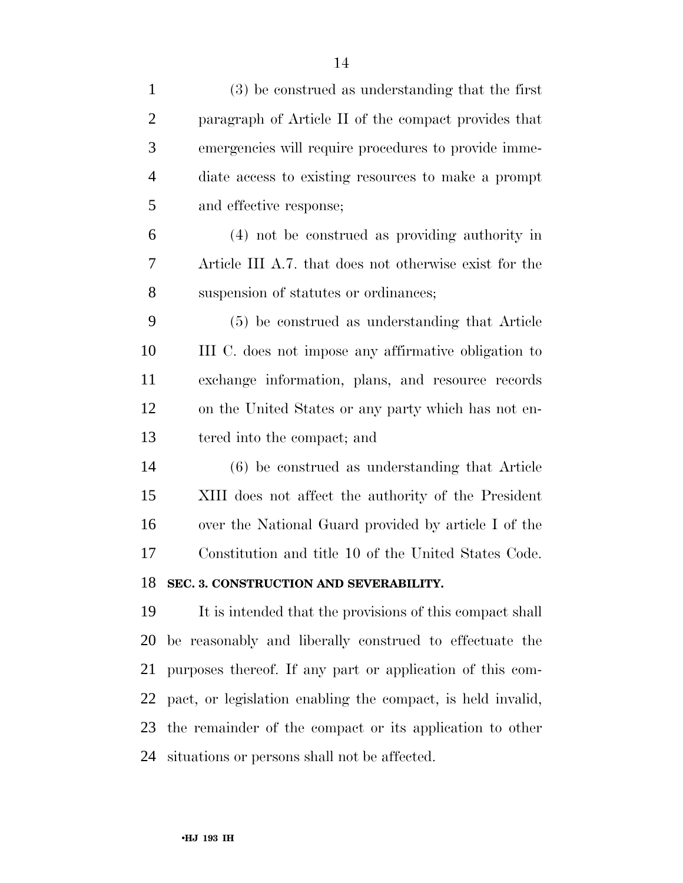| $\mathbf{1}$   | (3) be construed as understanding that the first            |
|----------------|-------------------------------------------------------------|
| $\overline{2}$ | paragraph of Article II of the compact provides that        |
| 3              | emergencies will require procedures to provide imme-        |
| $\overline{4}$ | diate access to existing resources to make a prompt         |
| 5              | and effective response;                                     |
| 6              | (4) not be construed as providing authority in              |
| 7              | Article III A.7. that does not otherwise exist for the      |
| 8              | suspension of statutes or ordinances;                       |
| 9              | (5) be construed as understanding that Article              |
| 10             | III C. does not impose any affirmative obligation to        |
| 11             | exchange information, plans, and resource records           |
| 12             | on the United States or any party which has not en-         |
| 13             | tered into the compact; and                                 |
| 14             | (6) be construed as understanding that Article              |
| 15             | XIII does not affect the authority of the President         |
| 16             | over the National Guard provided by article I of the        |
| 17             | Constitution and title 10 of the United States Code.        |
| 18             | SEC. 3. CONSTRUCTION AND SEVERABILITY.                      |
| 19             | It is intended that the provisions of this compact shall    |
| 20             | be reasonably and liberally construed to effectuate the     |
| 21             | purposes thereof. If any part or application of this com-   |
| 22             | pact, or legislation enabling the compact, is held invalid, |
| 23             | the remainder of the compact or its application to other    |
| 24             | situations or persons shall not be affected.                |